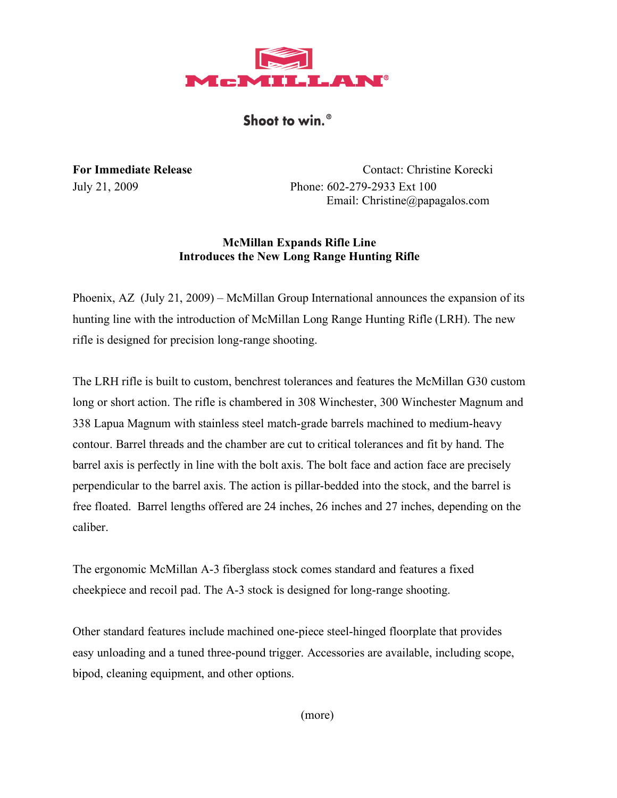

Shoot to win.<sup>®</sup>

**For Immediate Release** Contact: Christine Korecki July 21, 2009 Phone: 602-279-2933 Ext 100 Email: Christine@papagalos.com

# **McMillan Expands Rifle Line Introduces the New Long Range Hunting Rifle**

Phoenix, AZ (July 21, 2009) – McMillan Group International announces the expansion of its hunting line with the introduction of McMillan Long Range Hunting Rifle (LRH). The new rifle is designed for precision long-range shooting.

The LRH rifle is built to custom, benchrest tolerances and features the McMillan G30 custom long or short action. The rifle is chambered in 308 Winchester, 300 Winchester Magnum and 338 Lapua Magnum with stainless steel match-grade barrels machined to medium-heavy contour. Barrel threads and the chamber are cut to critical tolerances and fit by hand. The barrel axis is perfectly in line with the bolt axis. The bolt face and action face are precisely perpendicular to the barrel axis. The action is pillar-bedded into the stock, and the barrel is free floated. Barrel lengths offered are 24 inches, 26 inches and 27 inches, depending on the caliber.

The ergonomic McMillan A-3 fiberglass stock comes standard and features a fixed cheekpiece and recoil pad. The A-3 stock is designed for long-range shooting.

Other standard features include machined one-piece steel-hinged floorplate that provides easy unloading and a tuned three-pound trigger. Accessories are available, including scope, bipod, cleaning equipment, and other options.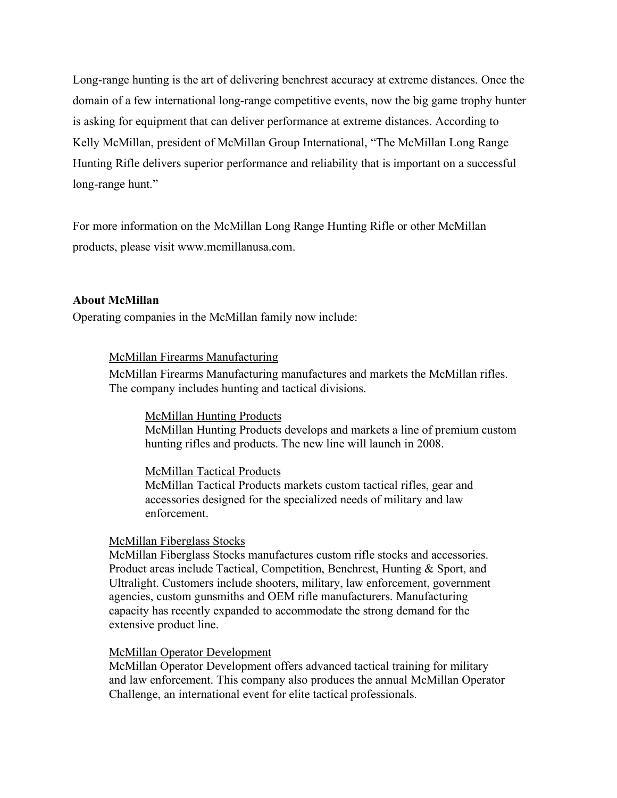Long-range hunting is the art of delivering benchrest accuracy at extreme distances. Once the domain of a few international long-range competitive events, now the big game trophy hunter is asking for equipment that can deliver performance at extreme distances. According to Kelly McMillan, president of McMillan Group International, "The McMillan Long Range Hunting Rifle delivers superior performance and reliability that is important on a successful long-range hunt."

For more information on the McMillan Long Range Hunting Rifle or other McMillan products, please visit www.mcmillanusa.com.

#### **About McMillan**

Operating companies in the McMillan family now include:

#### McMillan Firearms Manufacturing

McMillan Firearms Manufacturing manufactures and markets the McMillan rifles. The company includes hunting and tactical divisions.

#### McMillan Hunting Products

McMillan Hunting Products develops and markets a line of premium custom hunting rifles and products. The new line will launch in 2008.

#### McMillan Tactical Products

McMillan Tactical Products markets custom tactical rifles, gear and accessories designed for the specialized needs of military and law enforcement.

#### McMillan Fiberglass Stocks

McMillan Fiberglass Stocks manufactures custom rifle stocks and accessories. Product areas include Tactical, Competition, Benchrest, Hunting & Sport, and Ultralight. Customers include shooters, military, law enforcement, government agencies, custom gunsmiths and OEM rifle manufacturers. Manufacturing capacity has recently expanded to accommodate the strong demand for the extensive product line.

#### McMillan Operator Development

McMillan Operator Development offers advanced tactical training for military and law enforcement. This company also produces the annual McMillan Operator Challenge, an international event for elite tactical professionals.